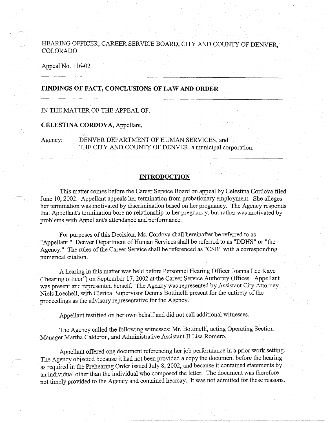# HEARING OFFICER, CAREER SERVICE BOARD, CITY AND COUNTY OF DENVER **COLORADO**

## Appeal No. 116-02

# **FINDINGS OF FACT, CONCLUSIONS OF LAW AND ORDER**

# IN THE MATTER OF THE APPEAL OF:

## **CELESTINA CORDOVA,** Appellant,

Agency: DENVER DEPARTMENT OF HUMAN SERVICES, and THE CITY AND COUNTY OF DENVER, a municipal corporation.

### **INTRODUCTION**

This matter comes before the Career Service Board on appeal by Celestina Cordova filed June 10, 2002. Appellant appeals her termination from probationary employment. She alleges her termination was motivated by discrimination based on her pregnancy. The Agency responds that Appellant's termination bore no relationship to her pregnancy, but rather was motivated by problems with Appellant's attendance and performance.

For purposes of this Decision, Ms. Cordova shall hereinafter be referred to as "Appellant." Denver Department of Human Services shall be referred to as "DDHS" or "the Agency." The rules of the Career Service shall be referenced as "CSR" with a corresponding numerical citation.

A hearing in this matter was held before Personnel Hearing Officer Joanna Lee Kaye ("hearing officer") on September 17, 2002 at the Career Service Authority Offices. Appellant was present and represented herself. The Agency was represented by Assistant City Attorney Niels Loechell, with Clerical Supervisor Dennis Bottinelli present for the entirety of the proceedings as the advisory representative for the Agency.

Appellant testified on her own behalf and did not call additional witnesses.

The Agency called the following witnesses: Mr. Bottinelli, acting Operating Section Manager Martha Calderon, and Administrative Assistant II Lisa Romero.

Appellant offered one document referencing her job performance in a prior work setting. The Agency objected because it had not been provided a copy the document before the hearing as required in the Prehearing Order issued July 8, 2002, and because it contained statements by an individual other than the individual who composed the letter. The document was therefore not timely provided to the Agency and contained hearsay. It was not admitted for these reasons.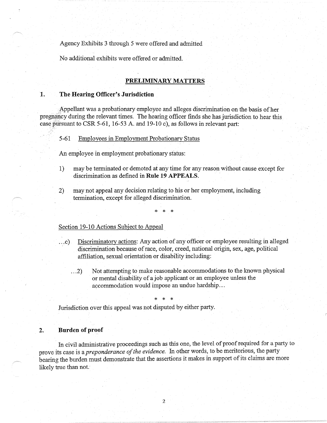Agency Exhibits 3 through 5 were offered and admitted

No additional exhibits were offered or admitted.

## **PRELIMINARY MATTERS**

# **1. The Hearing Officer's Jurisdiction**

Appellant was a probationary employee and alleges discrimination on the basis of her pregnancy during the relevant times. The hearing officer finds she has jurisdiction to hear this case pursuant to CSR 5-61, 16-53 A. and 19-10 c), as follows in relevant part:

5-61 Employees in Employment Probationary Status

An employee in employment probationary status:

- 1) may be terminated or demoted at any time for any reason without cause except for discrimination as defined in **Rule 19 APPEALS.**
- 2) may not appeal any decision relating to his or her employment, including termination, except for alleged discrimination.

\* \* \*

# Section 19-10 Actions Subject to Appeal

- ... c). Discriminatory actions: Any action of any officer or employee resulting in alleged discrimination because of race, color, creed, national origin, sex, age, political affiliation, sexual orientation or disability including:
	- ... 2) Not attempting to make reasonable accommodations to the known physical or mental disability of a job applicant or an employee unless the accommodation would impose an undue hardship ...

\* \* \*

Jurisdiction over this appeal was not disputed by either party.

## **2. Burden of proof**

In civil administrative proceedings such as this one, the level of proof required for a party to prove its case is a *preponderance of the evidence.* In other words, to be meritorious, the party bearing the burden must demonstrate that the assertions it makes in support of its claims are more likely true than not.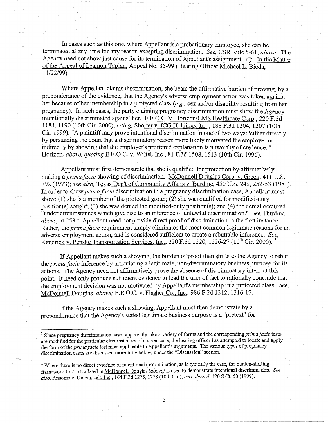In cases such as this one, where Appellant is a probationary employee, she can be terminated at any time for any reason excepting discrimination. *See,* CSR Rule 5-61, *above.* The Agency need not show just cause for its termination of Appellant's assignment. *Cf,* In the Matter of the Appeal of Leamon Taplan, Appeal No. 35-99 (Hearing Officer Michael L. Bieda, 11/22/99).

Where Appellant claims discrimination, she bears the affirmative burden of proving, by a preponderance of the evidence, that the Agency's adverse employment action was taken against her because of her membership in a protected class *(e.g.,* sex and/or disability resulting from her pregnancy). In such cases, the party claiming pregnancy discrimination must show the Agency intentionally discriminated against her. E.E.O.C. v. Horizon/CMS Healthcare Corp., 220 F.3d 1184, 1190 (10th Cir. 2000), *citing,* Shorter v. ICG Holdings, Inc., 188 F.3d 1204, 1207 (10th Cir. 1999). "A plaintiff may prove intentional discrimination in one of two ways: 'either directly by persuading the court that a discriminatory reason more likely motivated the employer or indirectly by showing that the employer's proffered explanation is unworthy of credence."" Horizon, *above, quoting* E.E.O.C. v. Wiltel, Inc., 81 F.3d 1508, 1513 (10th Cir. 1996).

Appellant must first demonstrate that she is qualified for protection by affirmatively making a *primafacie* showing of discrimination. McDonnell Douglas Corp. v. Green, 411 U.S. 792 (1973); *see also,* Texas Dep't of Community Affairs v. Burdine, 450 U.S. 248, 252-53 (1981). In order to show *prima facie* discrimination in a pregnancy discrimination case, Appellant must show: (1) she is a member of the protected group; (2) she was qualified for modified-duty position(s) sought; (3) she was denied the modified-duty position(s); and (4) the denial occurred "under circumstances which give rise to an inference of unlawful discrimination." *See*, Burdine, *above*, at 253.<sup>1</sup> Appellant need not provide direct proof of discrimination in the first instance. Rather, the *prima facie* requirement simply eliminates the most common legitimate reasons for an adverse employment action, and is considered sufficient to create a rebuttable inference. *See,*  Kendrick v. Penske Transportation Services, Inc., 220 F.3d 1220, 1226-27 (10<sup>th</sup> Cir. 2000). <sup>2</sup>

If Appellant makes such a showing, the burden of proof then shifts to the Agency to rebut the *prima facie* inference by articulating a legitimate, non-discriminatory business purpose for its actions. The Agency need not affirmatively prove the absence of discriminatory intent at this point. It need only produce sufficient evidence to lead the trier of fact to rationally conclude that the employment decision was not motivated by Appellant's membership in a protected class. *See,*  McDonnell Douglas, *above;* E.E.O.C. v. Flasher Co., Inc., 986 F.2d 1312, 1316-17.

If the Agency makes such a showing, Appellant must then demonstrate by a preponderance that the Agency's stated legitimate business purpose is a "pretext" for

<sup>&</sup>lt;sup>1</sup> Since pregnancy discrimination cases apparently take a variety of forms and the corresponding *prima facie* tests are modified for the particular circumstances of a given case, the hearing officer has attempted to locate and apply the form of the *prima facie* test most applicable to Appellant's arguments. The various types of pregnancy discrimination cases are discussed more fully below, under the "Discussion" section.

<sup>&</sup>lt;sup>2</sup> Where there is no direct evidence of intentional discrimination, as is typically the case, the burden-shifting framework first articulated in McDonnell Douglas *(above)* is used to demonstrate intentional discrimination. *See also,* Anaeme v. Diagnostek, Inc., 164 F.3d 1275, 1278 (10th Cir.), *cert. denied,* 120 S.Ct. 50 (1999).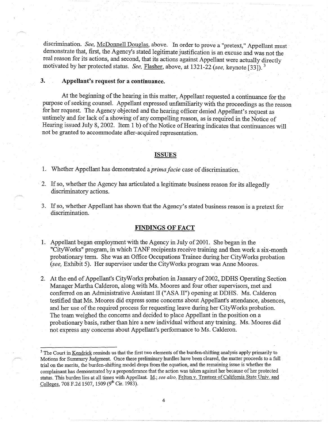discrimination. See, McDonnell Douglas, above. In order to prove a "pretext," Appellant must demonstrate that, first, the Agency's stated legitimate justification is an excuse and was not the real reason for its actions, and second, that its actions against Appellant were actually directly motivated by her protected status. *See,* Flasher, above, at 1321-22 *(see,* keynote [33]). <sup>3</sup>

# **3. Appellant's request for a continuance.**

At the beginning of the hearing in this matter, Appellant requested a continuance for the purpose of seeking counsel. Appellant expressed unfamiliarity with the proceedings as the reason for her request. The Agency objected and the hearing officer denied Appellant's request as untimely and for lack of a showing of any compelling reason, as is required in the Notice of Hearing issued July 8, 2002. Item 1 b) of the Notice of Hearing indicates that continuances will not be granted to accommodate after-acquired representation.

#### **ISSUES**

1. Whether Appellant has demonstrated a *prima facie* case of discrimination.

- 2. If so, whether the Agency has articulated a legitimate business reason for its allegedly discriminatory actions.
- 3. If so, whether Appellant has shown that the Agency's stated business reason is a pretext for discrimination.

## **FINDINGS OF FACT**

- 1. Appellant began employment with the Agency in July of 2001. She began in the "CityWorks" program, in which TANF recipients receive training and then work a six-month probationary term. She was an Office Occupations Trainee during her CityW orks probation *(see,* Exhibit 5). Her supervisor under the CityWorks program was Anne Moores.
- 2. At the end of Appellant's CityW orks probation in January of 2002, DDHS Operating Section Manager Martha Calderon, along with Ms. Moores and four other supervisors, met and conferred on an Administrative Assistant II ("ASA II") opening at DDHS. Ms. Calderon testified that Ms. Moores did express some concerns about Appellant's attendance, absences, and her use of the required process for requesting leave during her CityW orks probation. The team weighed the concerns and decided to place Appellant in the position on a probationary basis, rather than hire a new individual without any training. Ms. Moores did not express any concerns about Appellant's performance to Ms. Calderon.

<sup>&</sup>lt;sup>3</sup> The Court in Kendrick reminds us that the first two elements of the burden-shifting analysis apply primarily to Motions for Summary Judgment. Once these preliminary hurdles have been cleared, the matter proceeds to a full trial on the merits, the burden-shifting model drops from the equation, and the remaining issue is whether the complainant has demonstrated by a preponderance that the action was taken against her because of her protected status. This burden lies at all times with Appellant. Id.; *see also,* Felton v. Trustees of California State Univ. and Colleges, 708 F.2d 1507, 1509 (9<sup>th</sup> Cir. 1983).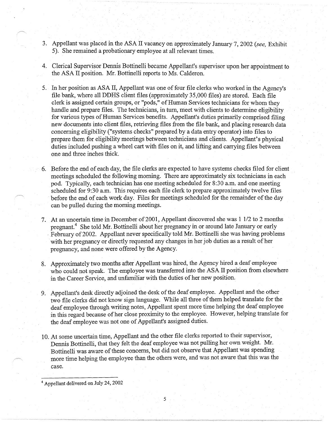- 3. Appellant was placed in the ASA II vacancy on approximately January 7, 2002 *(see,* Exhibit 5). She remained a probationary employee at all relevant times.
- 4. Clerical Supervisor Dennis Bottinelli became Appellant's supervisor upon her appointment to the ASA II position. Mr. Bottinelli reports to Ms. Calderon.
- 5. In her position as ASA II, Appellant was one of four file clerks who worked in the Agency's file bank, where all DDHS client files (approximately 35,000 files) are stored. Each file clerk is assigned certain groups, or "pods," of Human Services technicians for whom they handle and prepare files. The technicians, in turn, meet with clients to determine eligibility for various types of Human Services benefits. Appellant's duties primarily comprised filing new documents into client files, retrieving files from the file bank, and placing research data concerning eligibility ("systems checks" prepared by a data entry operator) into files to prepare them for eligibility meetings between technicians and clients. Appellant's physical duties included pushing a wheel cart with files on it, and lifting and carrying files between one and three inches thick.
- 6. Before the end of each day, the file clerks are expected to have systems checks filed for client meetings scheduled the following morning. There are approximately six technicians in each pod. Typically, each technician has one meeting scheduled for 8:30 a.m. and one meeting scheduled for 9:30 a.m. This requires each file clerk to prepare approximately twelve files before the end of each work day. Files for meetings scheduled for the remainder of the day can be pulled during the morning meetings.
- 7. At an uncertain time in December of 2001, Appellant discovered she was 1 1/2 to 2 months pregnant.<sup>4</sup> She told Mr. Bottinelli about her pregnancy in or around late January or early . February of 2002. Appellant never specifically told Mr. Bottinelli she was having problems with her pregnancy or directly requested any changes in her job duties as a result of her pregnancy, and none were offered by the Agency.
- 8. Approximately two months after Appellant was hired, the Agency hired a deaf employee who could not speak. The employee was transferred into the ASA II position from elsewhere in the Career Service, and unfamiliar with the duties of her new position.
- 9. Appellant's desk directly adjoined the desk of the deaf employee. Appellant and the other two file clerks did not know sign language. While all three of them helped translate for the deaf employee through writing notes, Appellant spent more time helping the deaf employee in this regard because of her close proximity to the employee. However, helping translate for the deaf employee was not one of Appellant's assigned duties.
- 10. At some uncertain time, Appellant and the other file clerks reported to their supervisor, Dennis Bottinelli, that they felt the deaf employee was not pulling her own weight. Mr. Bottinelli was aware of these concerns, but did not observe that Appellant was spending more time helping the employee than the others were, and was not aware that this was the case.

5

<sup>4</sup>Appellant delivered on July 24, 2002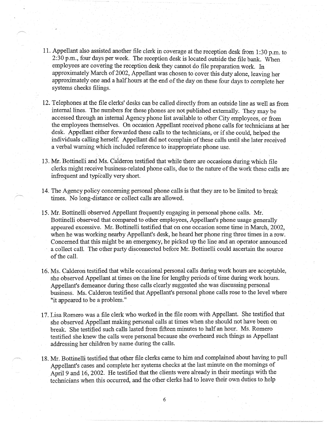- 11. Appellant also assisted another file clerk in coverage at the reception desk from 1 :30 p.m. to 2:30 p.m., four days per week. The reception desk is located outside the file bank. When employees are covering the reception desk they cannot do file preparation work. In approximately March of 2002, Appellant was chosen to cover this duty alone, leaving her approximately one and a half hours at the end of the day on these four days to complete her systems checks filings.
- 12. Telephones at the file clerks' desks can be called directly from an outside line as well as from internal lines. The numbers for these phones are not published externally. They may be accessed through an internal Agency phone list available to other City employees, or from the employees themselves. On occasion Appellant received phone calls for technicians at her desk. Appellant either forwarded these calls to the technicians, or if she could, helped the individuals calling herself. Appellant did not complain of these calls until she later received a verbal warning which included reference to inappropriate phone use.
- 13. Mr. Bottinelli. and Ms. Calderon testified that while there are occasions during which file clerks might receive business-related phone calls, due to the nature of the work these calls are infrequent and typically very short.
- 14. The Agency policy concerning personal phone calls is that they are to be limited to break times. No long-distance or collect calls are allowed.
- 15. Mr. Bottinelli observed Appellant frequently engaging in personal phone calls. Mr. Bottinelli observed that compared to other employees, Appellant's phone usage generally appeared excessive. Mr. Bottinelli testified that on one occasion some time in March, 2002, when he was working nearby Appellant's desk, he heard her phone ring three times in a row. Concerned that this might be an emergency, he picked up the line and an operator announced a collect call. The other party disconnected before Mr. Bottinelli could ascertain the source of the call.
- 16. Ms. Calderon testified that while occasional personal calls during work hours are acceptable, she observed Appellant at times on the line for lengthy periods of time during work hours. Appellant's demeanor during these calls clearly suggested she was discussing personal business. Ms. Calderon testified that Appellant's personal phone calls rose to the level where "it appeared to be a problem."
- 17. Lisa Romero was a file clerk who worked in the file room with Appellant. She testified that she observed Appellant making personal calls at times when she should not have been on break. She testified such calls lasted from fifteen minutes to half an hour. Ms. Romero testified she knew the calls were personal because she overheard such things as Appellant addressing her children by name during the calls.
- 18. Mr. Bottinelli testified that other file clerks came to him and complained about having to pull Appellant's cases and complete her systems checks at the last minute on the mornings of April 9 and 16, 2002. He testified that the clients were already in their meetings with the technicians when this occurred, and the other clerks had to leave their own duties to help

6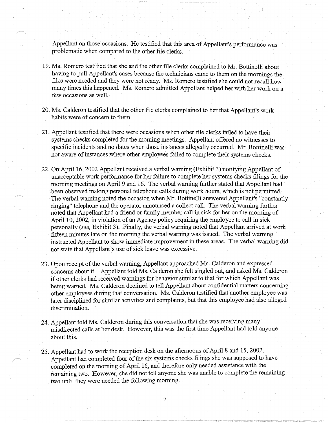Appellant on those occasions. He testified that this area of Appellant's performance was problematic when compared to the other file clerks.

- 19. Ms. Romero testified that she and the other file clerks complained to Mr. Bottinelli about having to pull Appellant's cases because the technicians came to them on the mornings the files were needed and they were not ready. Ms. Romero testified she could not recall how many times this happened. Ms. Romero admitted Appellant helped her with her work on a few occasions as well.
- 20. Ms. Calderon testified that the other file clerks complained to her that Appellant's work habits were of concern to them.
- 21. Appellant testified that there were occasions when other file clerks failed to have their systems checks completed for the morning meetings. Appellant offered no witnesses to specific incidents and no dates when those instances allegedly occurred. Mr. Bottinelli was not aware of instances where other employees failed to complete their systems checks. ·
- 22. On April 16, 2002 Appellant received a verbal warning (Exhibit 3) notifying Appellant of unacceptable work performance for her failure to complete her systems checks·filings for the morning meetings on April 9 and 16. The verbal warning further stated that Appellant had been observed making personal telephone calls during work hours, which is not permitted. · The verbal warning noted the occasion when Mr. Bottinelli answered Appellant's "constantly ringing" telephone and the operator announced a collect call. The verbal warning further noted that Appellant had a friend or family member call in sick for her on the morning of April 10, 2002, in violation of an Agency policy requiring the employee to call in sick personally *(see,* Exhibit 3). Finally, the verbal warning noted that Appellant arrived at work fifteen minutes late on the morning the verbal warning was issued. The verbal warning instructed Appellant to show immediate improvement in these areas. The verbal warning did not state that Appellant's use of sick leave was excessive.
- 23. Upon receipt of the verbal warning, Appellant approached Ms. Calderon and expressed concerns about it. Appellant told Ms. Calderon she felt singled out, and asked Ms. Calderon if other clerks had received warnings for behavior similar to that for which Appellant was being warned. Ms. Calderon declined to tell Appellant about confidential matters concerning other employees during that conversation. Ms. Calderon testified that another employee was later disciplined for similar activities and complaints, but that this employee had also alleged discrimination.
- 24. Appellant told Ms. Calderon during this conversation that she was receiving many misdirected calls at her desk. However, this was the first time Appellant had told anyone about this.
- 25. Appellant had to work the reception desk on the afternoons of April 8 and 15, 2002. Appellant had completed four of the six systems checks filings she was supposed to have completed on the morning of April 16, and therefore only needed assistance with the remaining two. However, she did not tell anyone she was unable to complete the remaining two until they were needed the following morning.

7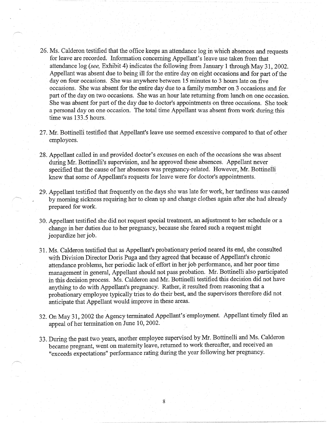- 26. Ms. Calderon testified that the office keeps an attendance log in which absences and requests for leave are recorded. Information concerning Appellant's leave use taken from that attendance log *(see,* Exhibit 4) indicates the following from January 1 through May 31, 2002. Appellant was absent due to being ill for the entire day on eight occasions and for part of the day on four occasions. She was anywhere between 15 minutes to 3 hours late on five occasions. She was absent for the entire day due to a family member on 3 occasions and for part of the day on two occasions. She was an hour late returning from lunch on one occasion. She was absent for part of the day due to doctor's appointments on three occasions. She took a personal day on one occasion. The total time Appellant was absent from work during this time was 133.5 hours.
- 27. Mr. Bottinelli testified that Appellant's leave use seemed excessive compared to that of other employees.
- 28. Appellant called in and provided doctor's excuses on each of the occasions she was absent during Mr. Bottinelli's supervision, and he approved these absences. Appellant never specified that the cause of her absences was pregnancy-related. However, Mr. Bottinelli knew that some of Appellant's requests for leave were for doctor's appointments. ·
- 29. Appellant testified that frequently on the days she was late for work, her tardiness was caused by morning sickness requiring her to clean up and change clothes again after she had already prepared for work.
- 30. Appellant testified she did not request special treatment, an adjustment to her schedule or a change in her duties due to her pregnancy, because she feared such a request might jeopardize her job.
- 31. Ms. Calderon testified that as Appellant's probationary period neared its end, she consulted with Division Director Doris Puga and they agreed that because of Appellant's chronic attendance problems, her periodic lack of effort in her job performance, and her poor time management in general, Appellant should not pass probation. Mr. Bottinelli also participated in this decision process. Ms. Calderon and Mr. Bottinelli testified this decision did not have anything to do with Appellant's pregnancy. Rather, it resulted from reasoning that a probationary employee typically tries to do their best, and the supervisors therefore did not anticipate that Appellant would improve in these areas.
- 32. On May 31, 2002 the Agency terminated Appellant's· employment. Appellant timely filed an appeal of her termination on June 10, 2002.
- 33. During the past two years, another employee supervised by Mr. Bottinelli and Ms. Calderon became pregnant, went on maternity leave, returned to work thereafter, and received an "exceeds expectations" performance rating during the year following her pregnancy.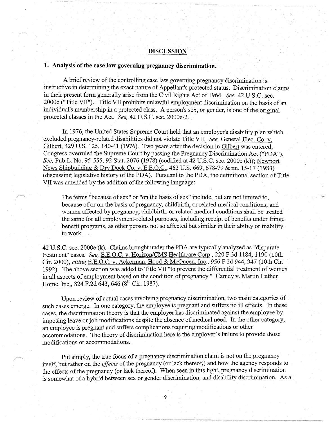## **DISCUSSION**

### **1. Analysis of the case law governing pregnancy discrimination.**

A brief review of the controlling case law governing pregnancy discrimination is instructive in determining the exact nature of Appellant's protected status. Discrimination claims in their present form generally arise from the Civil Rights Act of 1964. *See,* 42 U.S.C. sec. 2000e ("Title VII"). Title VII prohibits unlawful employment discrimination on the basis of an individual's membership in a protected class. A person's sex, or gender, is one of the original protected classes in the Act. *See*, 42 U.S.C. sec. 2000e-2.

In 1976, the United States Supreme Court held that an employer's disability plan which excluded pregnancy-related disabilities did not violate Title VIL *See,* General Elec. Co. v. Gilbert,  $429$  U.S. 125, 140-41 (1976). Two years after the decision in Gilbert was entered. Congress overruled the Supreme Court by passing the Pregnancy Discrimination Act ("PDA"). *See,* Pub.L. No. 95-555, 92 Stat. 2076 (1978) (codified at 42 U.S.C. sec. 2000e (k)); Newport-News Shipbuilding & Dry Dock Co. v, E.E.O.C., 462 U.S. 669, 678-79 & nn. 15-17 (1983) ( discussing legislative history of the PDA). Pursuant to the PDA, the definitional section of Title VII was amended by the addition of the following language:

The ferms "because of sex" or "on the basis of sex" include, but are not limited to, because of or on the basis of pregnancy, childbirth, or related medical conditions; and women affected by pregnancy, childbirth, or related medical conditions shall be treated the same for all employment-related purposes, including receipt of benefits under fringe benefit programs, as other persons not so affected but similar in their ability or inability to work. ...

42 U.S.C. sec. 2000e (k). Claims brought under the PDA are typically analyzed as ''disparate treatment" cases. *See,* E.E.O.C. v. Horizon/CMS Healthcare Corp., 220 F.3d 1184, 1190 (10th Cir. 2000), *citing* E.E.O.C. v. Ackerman, Hood & McQueen, Inc., 956 F.2d 944, 947 (10th Cir. 1992). The above section was added to Title VII "to prevent the differential treatment of women in all aspects of employment based on the condition of pregnancy." Carney v. Martin Luther Home, Inc., 824 F.2d 643, 646 (8<sup>th</sup> Cir. 1987).

Upon review of actual cases involving pregnancy discrimination, two main categories 6f such cases emerge. In one category, the employee is pregnant and suffers no ill effects. In these cases, the discrimination theory is that the employer has discriminated against the employee by imposing leave or job modifications despite the absence of medical need. In the other category, an employee is pregnant and suffers complications requiring modifications or other accommodations. The theory of discrimination here is the employer's failure to provide those modifications or accommodations.

Put simply, the true focus of a pregnancy discrimination claim is not on the pregnancy itself, but rather on the *effects* of the pregnancy (or lack thereof,) and how the agency responds to the effects of the pregnancy (or lack thereof). When seen in this light, pregnancy discrimination is somewhat of a hybrid between sex or gender discrimination, and disability discrimination. As a

9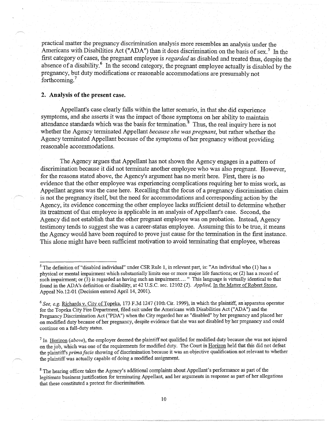practical matter the pregnancy discrimination analysis more resembles an analysis under the Americans with Disabilities Act ("ADA") than it does discrimination on the basis of sex.<sup>5</sup> In the first category of cases, the pregnant employee is *regarded* as disabled and treated thus, despite the absence of a disability.<sup>6</sup> In the second category, the pregnant employee actually is disabled by the pregnancy, but duty modifications or reasonable accommodations are presumably not forthcoming.<sup>7</sup>

# **2. Analysis of the present case.**

Appellant's case clearly falls within the latter scenario, in that she did experience symptoms, and she asserts it was the impact of those symptoms on her ability to maintain attendance standards which was the basis for termination. $8$  Thus, the real inquiry here is not whether the Agency terminated Appellant *because she was pregnant,* but rather whether the Agency terminated Appellant because of the symptoms of her pregnancy without providing reasonable accommodations.

The Agency argues that Appellant has not shown the Agency engages in a pattern of discrimination because it did not terminate another employee who was also pregnant. However, for the reasons stated above, the Agency's argument has no merit here. First, there is no evidence that the other employee was experiencing complications requiring her to miss work, as Appellant argues was the case here. Recalling that the focus of a pregnancy discrimination claim is not the pregnancy itself, but the need for accommodations and corresponding action by the Agency, its evidence concerning the other employee lacks sufficient detail to determine whether its treatment of that employee is applicable in an analysis of Appellant's case. Second, the Agency did not establish that the other pregnant employee was on probation. Instead, Agency testimony tends to suggest she was a career-status employee. Assuming this to be true, it means the Agency would have been required to prove just cause for the termination in the first instance. This alone might have been sufficient motivation to avoid terminating that employee, whereas

<sup>7</sup> In Horizon (above), the employer deemed the plaintiff not qualified for modified duty because she was not injured on the job, which was one of the requirements for modified duty. The Court in Horizon held that this did not defeat the plaintiffs *prima facie* showing of discrimination because it was an objective qualification not relevant to whether the plaintiff was actually capable of doing a modified assignment.

<sup>8</sup> The hearing officer takes the Agency's additional complaints about Appellant's performance as part of the legitimate business justification for terminating Appellant, and her arguments in response as part of her allegations that these constituted a pretext for discrimination.

<sup>&</sup>lt;sup>5</sup>The definition of "disabled individual" under CSR Rule 1, in relevant part, is: "An individual who (1) has a physical or mental impairment which substantially limits one or more major life functions; or (2) has a record of such impairment; or  $(3)$  is regarded as having such an impairment.... " This language is virtually identical to that found in the AD A's definition or disability, at 42 U.S.C. sec. 12102 (2). *Applied,* In the Matter of Robert Stone, Appeal No.12-01 (Decision entered April 14, 2001).

<sup>6</sup>*See, e.g.* Richards v. City of Topeka, 173 F.3d 1247 (10th Cir. 1999), in which the plaintiff, an apparatus operator for the Topeka City Fire Department, filed suit under the Americans with Disabilities Act ("ADA") and the Pregnancy Discrimination Act ("PDA") when the City regarded her as "disabled" by her pregnancy and placed her on modified duty because of her pregnancy, despite evidence that she was not disabled by her pregnancy and could continue on a full-duty status.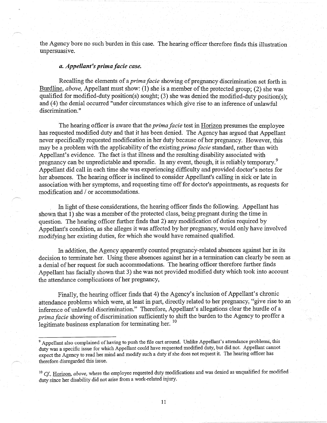the Agency bore no such burden in this case. The hearing officer therefore finds this illustration unpersuasive.

## *a. Appellant's prima facie case.*

Recalling the elements of a *prima facie* showing of pregnancy discrimination set forth in Burdline, *above,* Appellant must show: (1) she is a member of the protected group; (2) she was qualified for modified-duty position(s) sought; (3) she was denied the modified-duty position(s); and (4) the denial occurred "under circumstances which give rise to an inference of unlawful discrimination."

The hearing officer is aware that the *prima facie* test in Horizon presumes the employee has requested modified duty and that it has been denied. The Agency has argued that Appellant never specifically requested modification in her duty because of her pregnancy. However, this may be a problem with the applicability of the existing *prima facie* standard, rather than with Appellant's evidence. The fact is that illness and the resulting disability associated with pregnancy can be unpredictable and sporadic. In any event, though, it is reliably temporary.<sup>9</sup> Appellant did call in each time she was experiencing difficulty and provided doctor's notes for her absences. The hearing officer is inclined to consider Appellant's calling in sick or late in association with her symptoms, and requesting time off for doctor's appointments, as requests for modification and/ or accommodations.

In light of these considerations, the hearing officer finds the following. Appellant has shown that 1) she was a member of the protected class, being pregnant during the time in question. The hearing officer further finds that 2) any modification of duties required by Appellant's condition, as she alleges it was affected by her pregnancy, would only have involved modifying her existing duties, for which she would have remained qualified.

In addition, the Agency apparently counted pregnancy-related absences against her in its decision to terminate her. Using these absences against her in a termination can clearly be seen as a denial of her request for such accommodations. The hearing officer therefore further finds Appellant has facially shown that 3) she was not provided modified duty which took into account the attendance complications of her pregnancy,

Finally, the hearing officer finds that 4) the Agency's inclusion of Appellant's chronic \_ attendance problems which were, at least in part, directly related to her pregnancy, "give rise to an inference of unlawful discrimination." Therefore, Appellant's allegations clear the hurdle of a *prima facie* showing of discrimination sufficiently to shift the burden to the Agency to proffer a legitimate business explanation for terminating her. <sup>10</sup>

<sup>&</sup>lt;sup>9</sup> Appellant also complained of having to push the file cart around. Unlike Appellant's attendance problems, this duty was a specific issue for which Appellant could have requested modified duty, but did not. Appellant cannot expect the Agency to read her mind and modify such a duty if she does not request it. The hearing officer has therefore disregarded this issue.

<sup>&</sup>lt;sup>10</sup> Cf., Horizon, *above*, where the employee requested duty modifications and was denied as unqualified for modified duty since her disability did not arise from a work-related injury.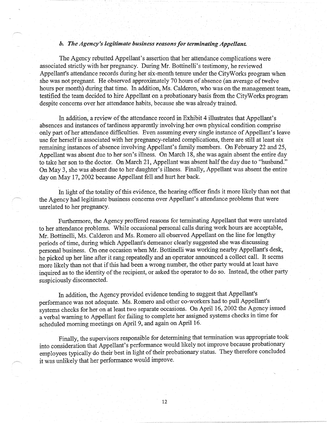## *b. The Agency's legitimate business reasons for terminating Appellant.*

The Agency rebutted Appellant's assertion that her attendance complications were associated strictly with her pregnancy. During Mr. Bottinelli's testimony, he reviewed Appellant's attendance records during her six-month tenure under the CityWorks program when she was not pregnant. He observed approximately 70 hours of absence ( an average of twelve hours per month) during that time. In addition, Ms. Calderon, who was on the management team, testified the team decided to hire Appellant on a probationary basis from the CityWorks program despite concerns over her attendance habits, because she was already trained.

In addition, a review of the attendance record in Exhibit 4 illustrates that Appellant's absences and instances of tardiness apparently involving her own physical condition comprise only part of her attendance difficulties. Even assuming every single instance of Appellant's leave use for herself is associated with her pregnancy-related complications, there are still at least six remaining instances of absence involving Appellant's family members. On February 22 and 25, Appellant was absent due to her son's illness. On March 18, she was again absent the entire day to take her son to the doctor. On March 21, Appellant was absent half the day due to "husband." On May 3, she was absent due to her daughter's illness. Finally, Appellant was absent the entire day on May 17, 2002 because Appellant fell and hurt her back.

In light of the totality of this evidence, the hearing officer finds it more likely than not that the Agency had legitimate business concerns over Appellant's attendance problems that were unrelated to her pregnancy.

Furthermore, the Agency proffered reasons for terminating Appellant that were unrelated to her attendance problems. While occasional personal calls during work hours are acceptable, Mr. Bottinelli, Ms. Calderon and Ms. Romero all observed Appellant on the line for lengthy periods of time, during which Appellant's demeanor clearly suggested she was discussing personal business. On one occasion when Mr. Bottinelli was working nearby Appellant's desk, he picked up her line after it rang repeatedly and an operator announced a collect call. It seems more likely than not that if this had been a wrong number, the other party would at least have inquired as to the identity of the recipient, or asked the operator to do so. Instead, the other party suspiciously disconnected.

In addition, the Agency provided evidence tending to suggest that Appellant's performance was not adequate. Ms. Romero and other co-workers had to pull Appellant's systems checks for her on at least two separate occasions. On April 16, 2002 the Agency issued a verbal warning to Appellant for failing to complete her assigned systems checks in time for scheduled morning meetings on April 9, and again on April 16.

Finally, the supervisors responsible for determining that termination was appropriate took into consideration that Appellant's performance would likely not improve because probationary employees typically do their best in light of their probationary status. They therefore concluded it was unlikely that her performance would improve.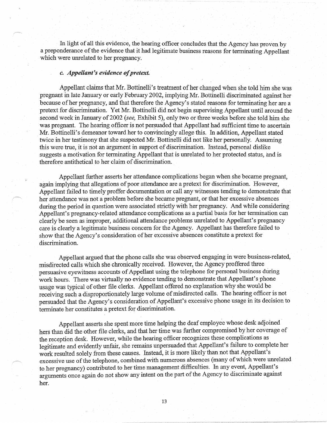In light of all this evidence, the hearing officer concludes that the Agency has proven by a preponderance of the evidence that it had legitimate business reasons for terminating Appellant which were unrelated to her pregnancy.

### *c. Appellant's evidence of pretext.*

Appellant claims that Mr. Bottinelli's treatment of her changed when she told him she was pregnant in late January or early February 2002, implying Mr. Bottinelli discriminated against her because of her pregnancy, and that therefore the Agency's stated reasons for terminating her are a pretext for discrimination. Yet Mr. Bottinelli did not begin supervising Appellant until around the second week in January of 2002 *(see,* Exhibit 5), only two or three weeks before she told him she was pregnant. The hearing officer is not persuaded that Appellant had sufficient time to ascertain Mr. Bottinelli's demeanor toward her to convincingly allege this. In addition, Appellant stated twice in her testimony that she suspected Mr. Bottinelli did not like her personally. Assuming this were true, it is not an argument in support of discrimination. Instead, personal dislike suggests a motivation for terminating Appellant that is unrelated to her protected status, and is therefore antithetical to her claim of discrimination.

Appellant further asserts her attendance complications began when she became pregnant, again implying that allegations of poor attendance are a pretext for discrimination. However, Appellant failed to timely proffer documentation or call any witnesses tending to demonstrate that her attendance was not a problem before she became pregnant, or that her excessive absences during the period in question were associated strictly with her pregnancy. And while considering Appellant's pregnancy-related attendance complications as a partial basis for her termination can clearly be seen as improper, additional attendance problems unrelated to Appellant's pregnancy care is clearly a legitimate business concern for the Agency. Appellant has therefore failed to show that the Agency's consideration of her excessive absences constitute a pretext for discrimination.

Appellant argued that the phone calls she was observed engaging in were business-related, misdirected calls which she chronically received. However, the Agency proffered three persuasive eyewitness accounts of Appellant using the telephone for personal business during work hours. There was virtually no evidence tending to demonstrate that Appellant's phone usage was typical of other file clerks. Appellant offered no explanation why she would be receiving such a disproportionately large volume of misdirected calls. The hearing officer is not persuaded that the Agency's consideration of Appellant's excessive phone usage in its decision to terminate her constitutes a pretext for discrimination.

Appellant asserts she spent more time helping the deaf employee whose desk adjoined· hers than did the other file clerks, and that her time was further compromised by her coverage of the reception desk. However, while the hearing officer recognizes these complications as legitimate and evidently unfair, she remains unpersuaded that Appellant's failure to complete her work resulted solely from these causes. Instead, it is more likely than not that Appellant's excessive use of the telephone, combined with numerous absences (many of which were unrelated to her pregnancy) contributed to her time management difficulties. In any event, Appellant's arguments once again do not show any intent on the part of the Agency to discriminate against her.